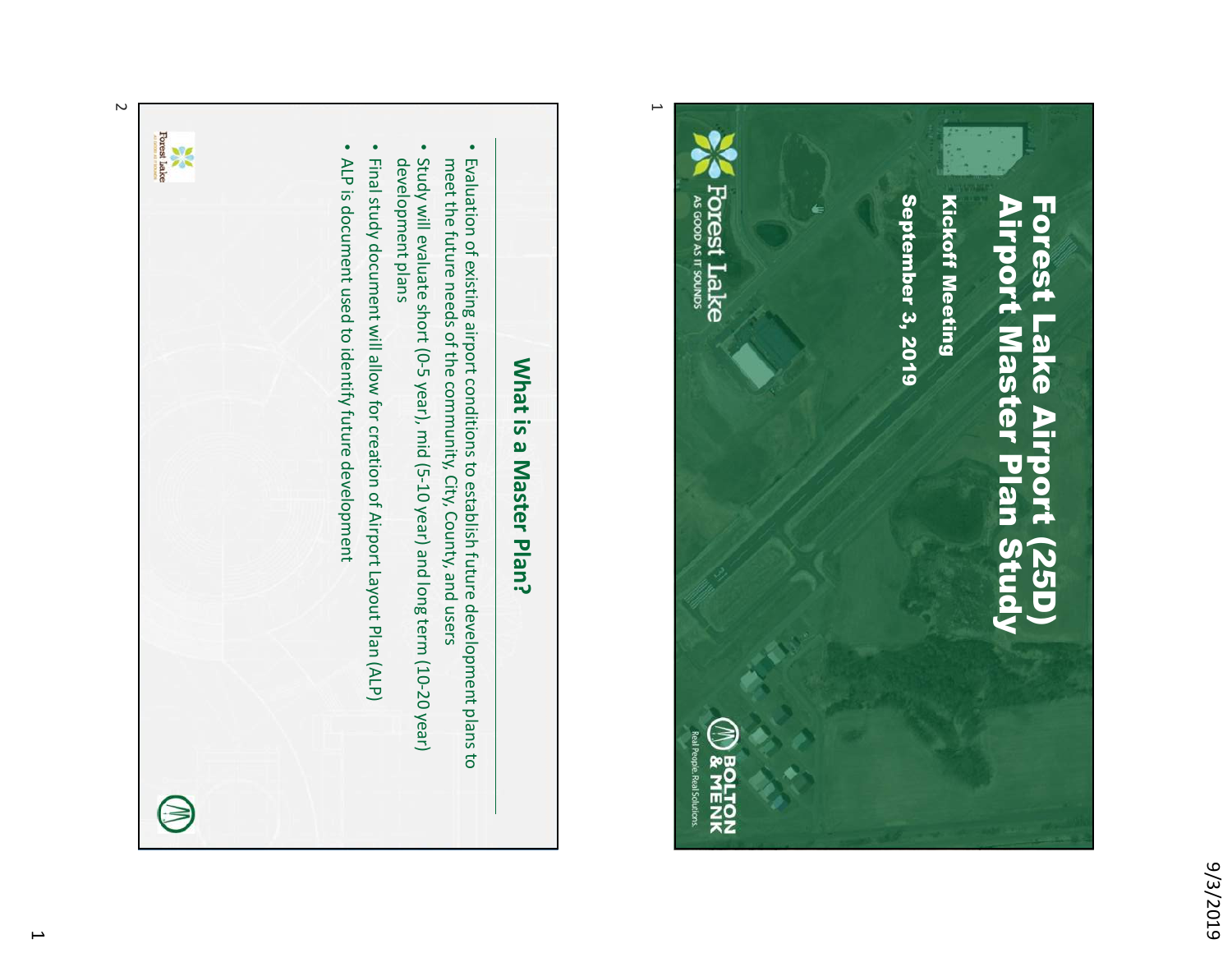



## Forest Lake<br>Forest Lake • • ALP is document used to identify future development • • Final study document will allow for creation of Airport Layout Plan (ALP) Evaluation of existing airport conditions to establish future development plans to<br>meet the future needs of the community, City, County, and users development plans Study will evaluate short (0-5 year), mid (5-10 year) and long term (10-20 year) ALP is document used to identify future development Study will evaluate short (0-5 year), mid (5-10 year) and long term (10-20 year) Final study document will allow for creation of Airport Layout Plan (ALP) development plans meet the future needs of the community, City, County, and users Evaluation of existing airport conditions to establish future development plans to What is a Master Plan? What is a Master Plan?

 $\sim$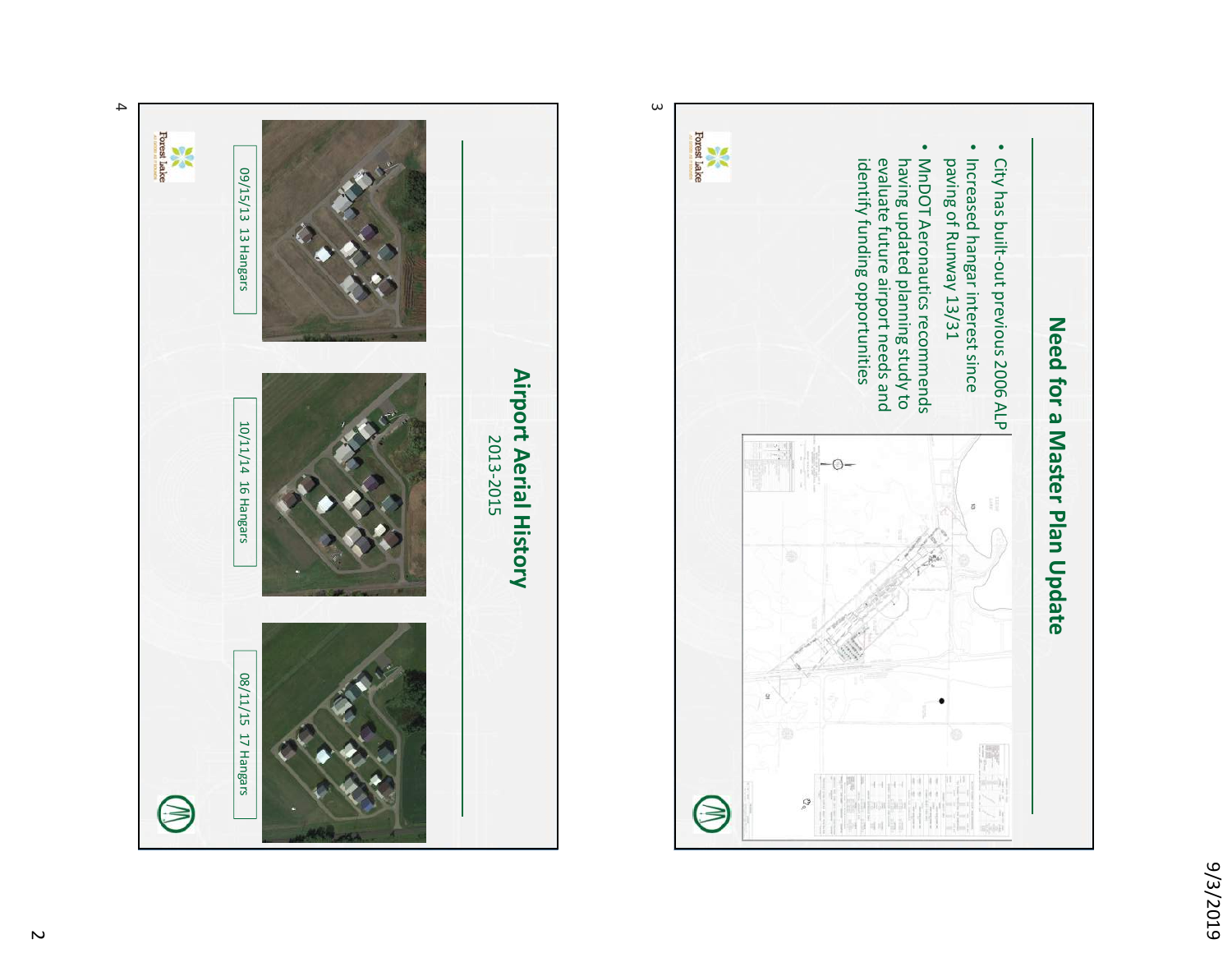





 $\overline{c}$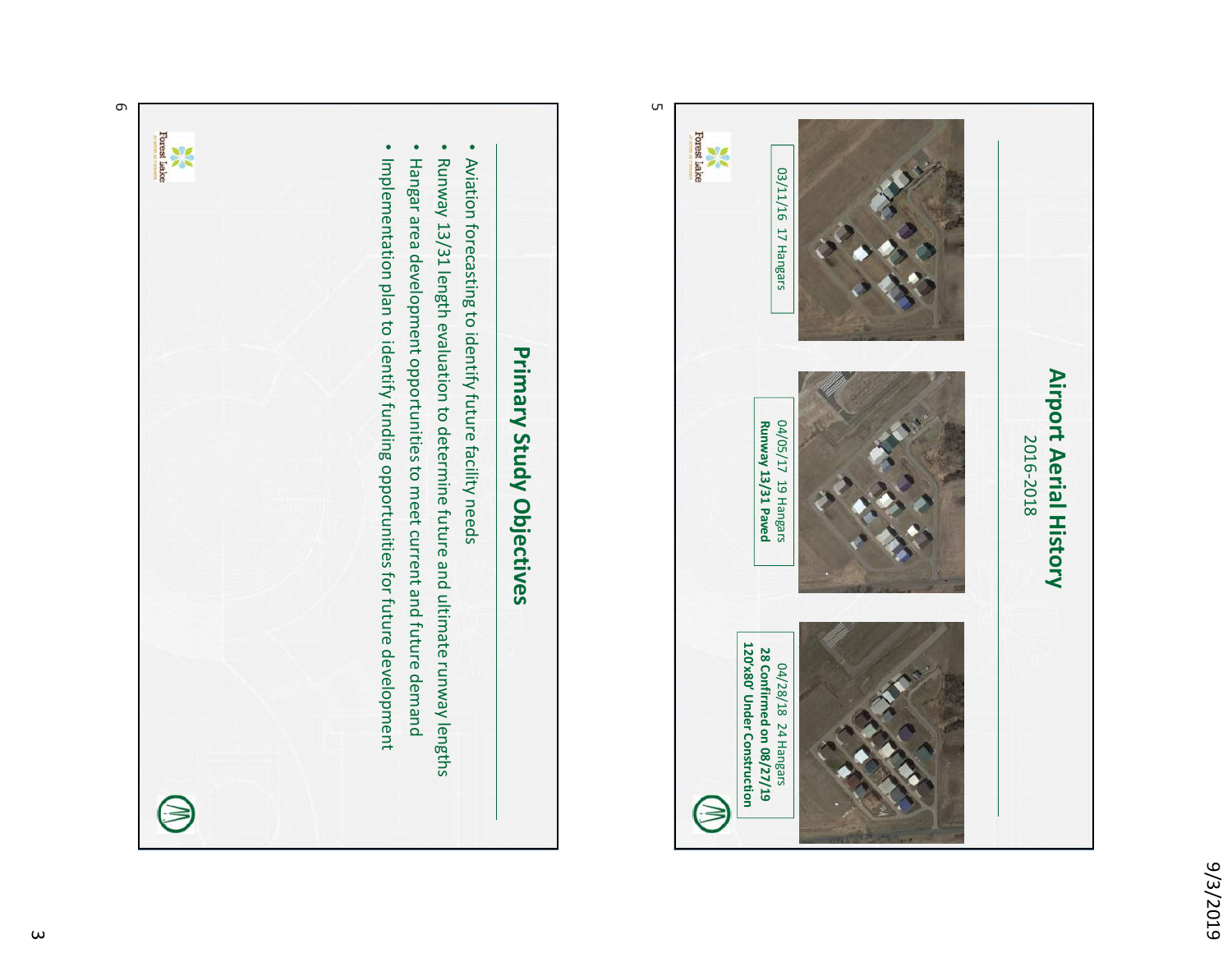



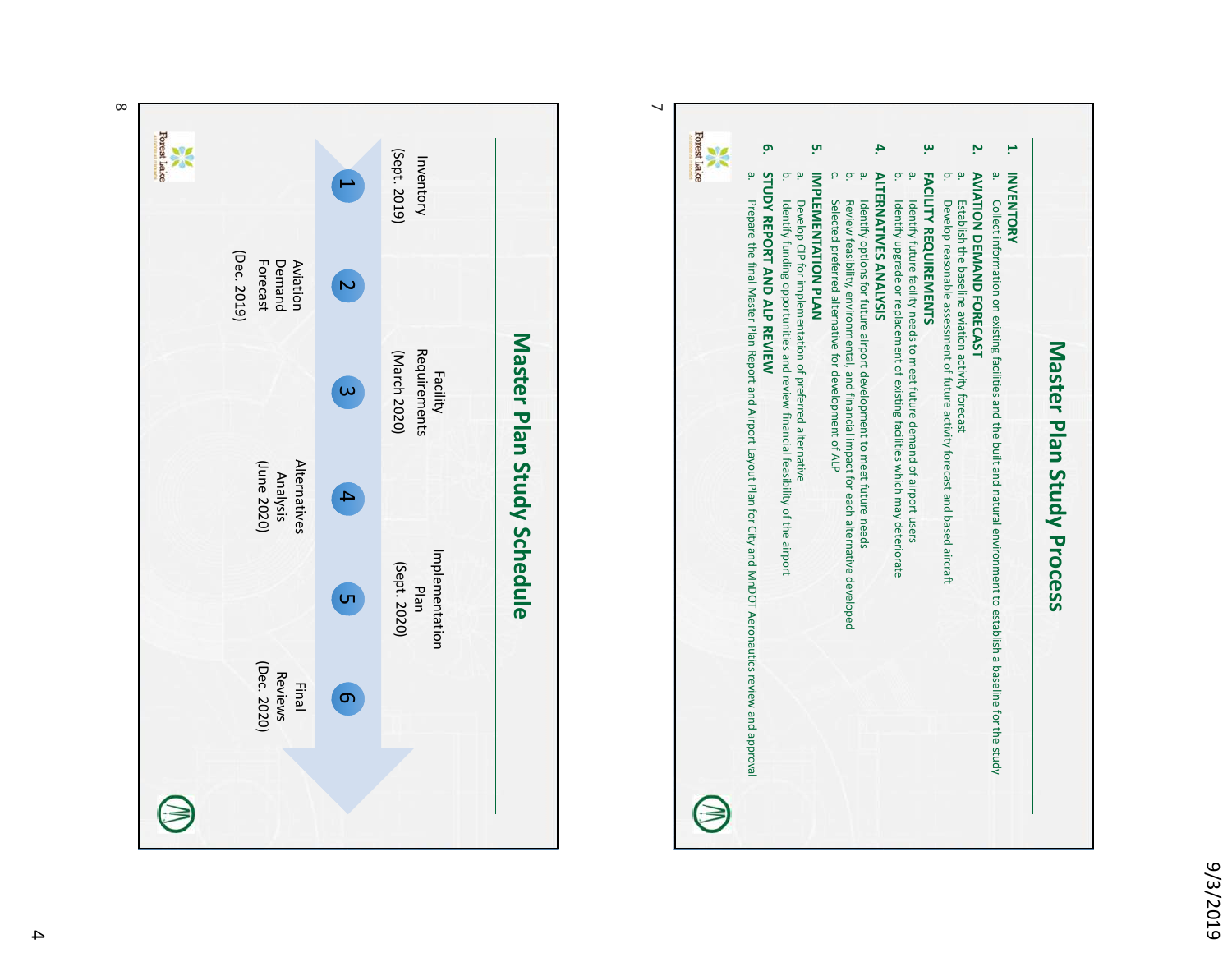



 $\infty$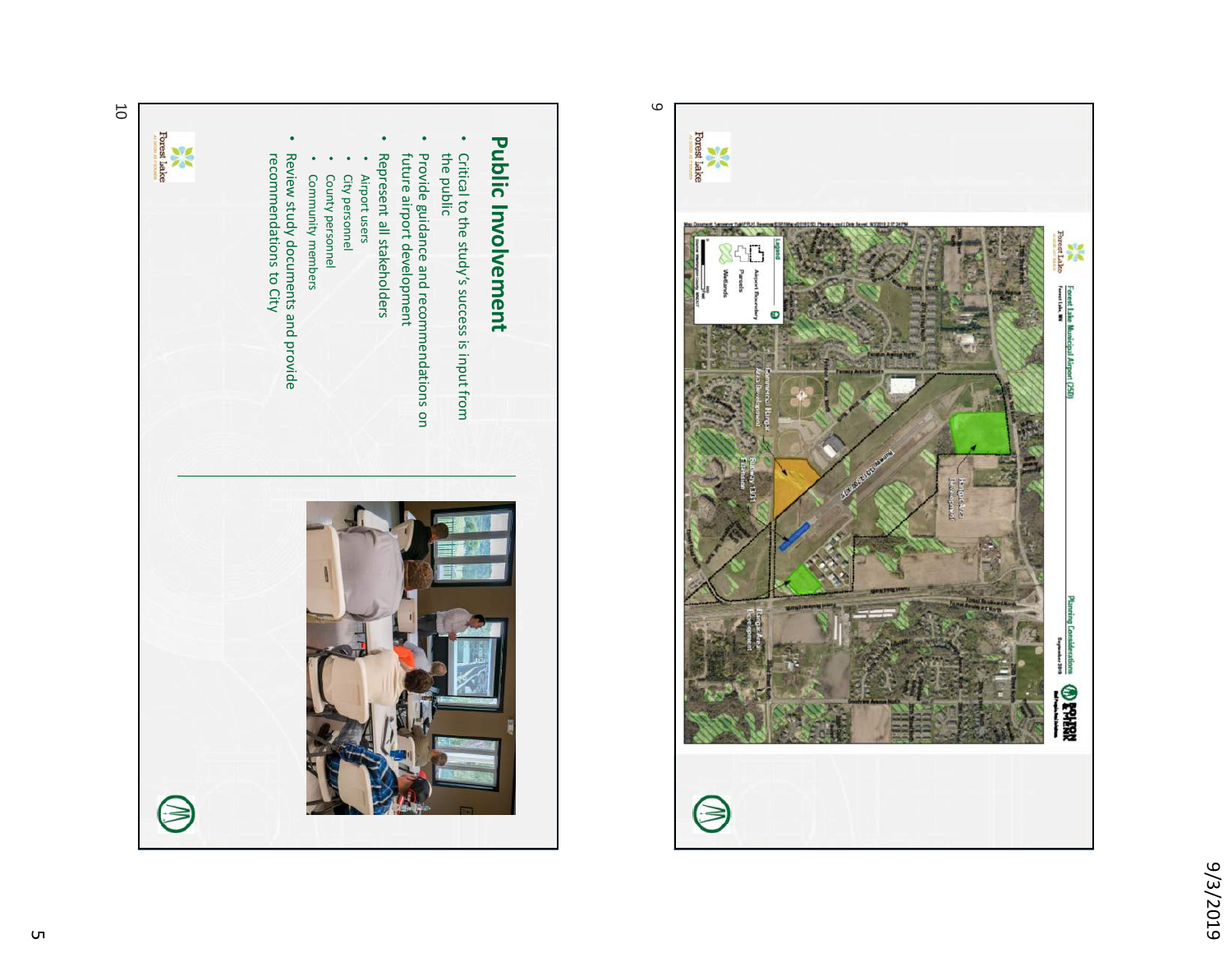



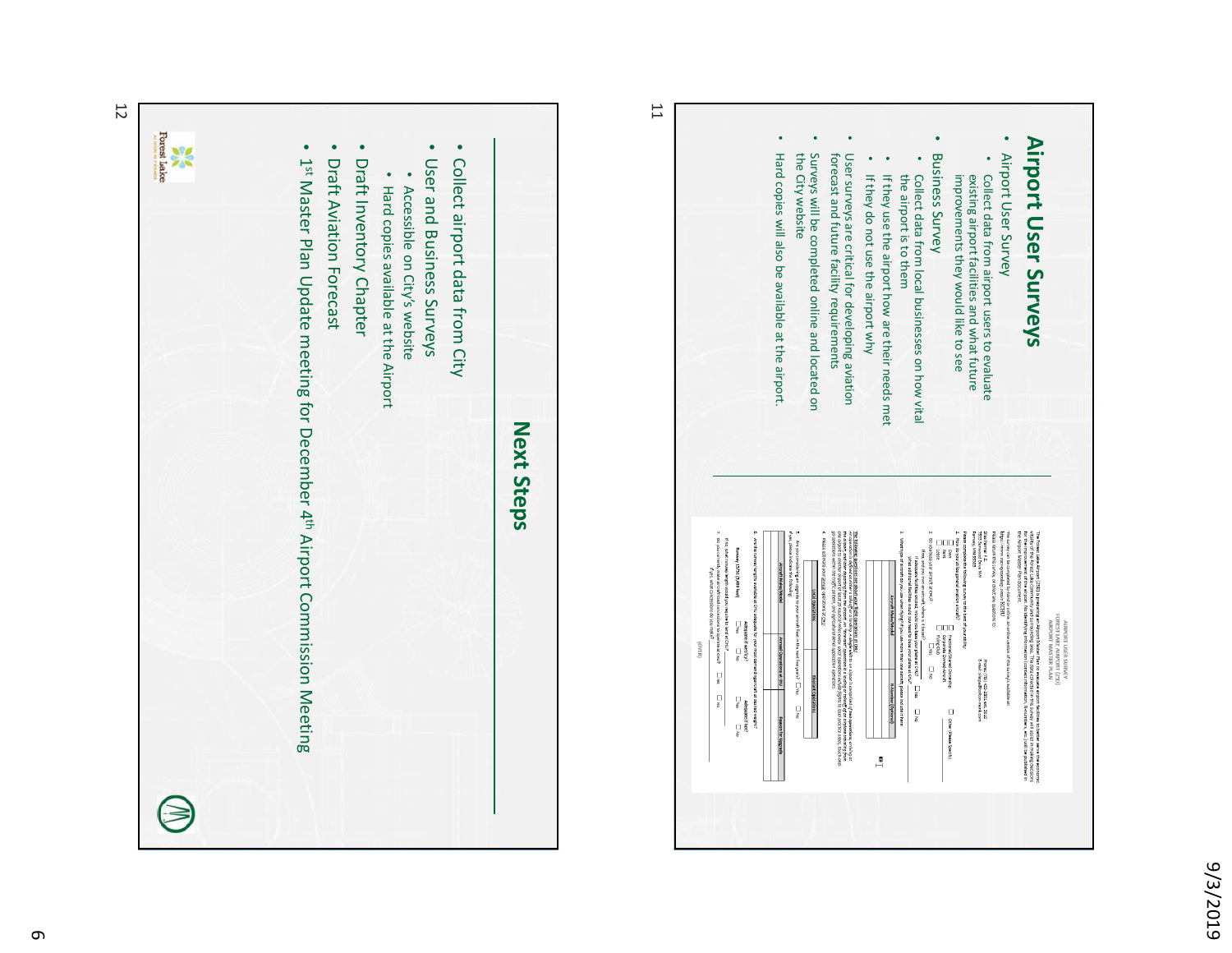

**Airport User Surveys**

AIRPORT USER SURVEY<br>FOREST LAKE AIRPORT (25D)<br>AIRPORT MASTER PLAN

Airport User Surveys



12